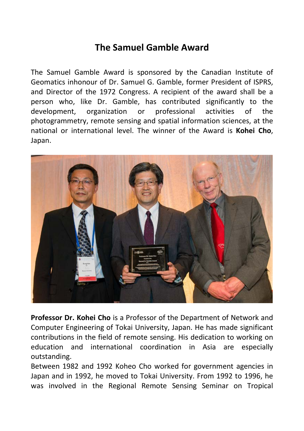## **The Samuel Gamble Award**

The Samuel Gamble Award is sponsored by the Canadian Institute of Geomatics inhonour of Dr. Samuel G. Gamble, former President of ISPRS, and Director of the 1972 Congress. A recipient of the award shall be a person who, like Dr. Gamble, has contributed significantly to the development, organization or professional activities of the photogrammetry, remote sensing and spatial information sciences, at the national or international level. The winner of the Award is **Kohei Cho**, Japan.



**Professor Dr. Kohei Cho** is a Professor of the Department of Network and Computer Engineering of Tokai University, Japan. He has made significant contributions in the field of remote sensing. His dedication to working on education and international coordination in Asia are especially outstanding.

Between 1982 and 1992 Koheo Cho worked for government agencies in Japan and in 1992, he moved to Tokai University. From 1992 to 1996, he was involved in the Regional Remote Sensing Seminar on Tropical